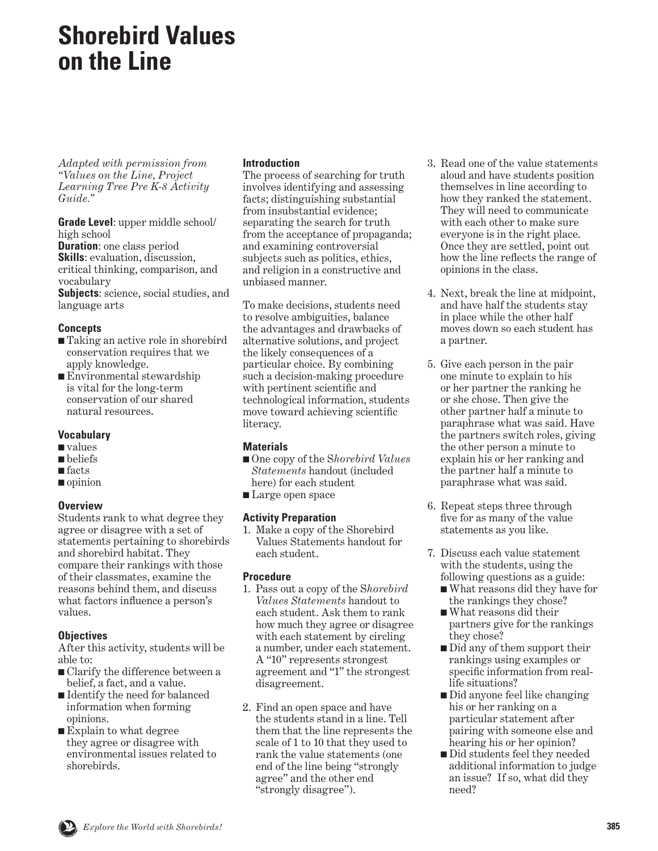# **Shorebird Values on the Line**

*Adapted with permission from "Values on the Line, Project Learning Tree Pre K-8 Activity Guide."*

**Grade Level**: upper middle school/ high school

**Duration**: one class period **Skills**: evaluation, discussion, critical thinking, comparison, and vocabulary

**Subjects**: science, social studies, and language arts

#### **Concepts**

- Taking an active role in shorebird conservation requires that we apply knowledge.
- Environmental stewardship is vital for the long-term conservation of our shared natural resources.

### **Vocabulary**

- values
- beliefs
- facts
- opinion

### **Overview**

Students rank to what degree they agree or disagree with a set of statements pertaining to shorebirds and shorebird habitat. They compare their rankings with those of their classmates, examine the reasons behind them, and discuss what factors influence a person's values.

### **Objectives**

After this activity, students will be able to:

- Clarify the difference between a belief, a fact, and a value.
- Identify the need for balanced information when forming opinions.
- Explain to what degree they agree or disagree with environmental issues related to shorebirds.

#### **Introduction**

The process of searching for truth involves identifying and assessing facts; distinguishing substantial from insubstantial evidence; separating the search for truth from the acceptance of propaganda; and examining controversial subjects such as politics, ethics, and religion in a constructive and unbiased manner.

To make decisions, students need to resolve ambiguities, balance the advantages and drawbacks of alternative solutions, and project the likely consequences of a particular choice. By combining such a decision-making procedure with pertinent scientific and technological information, students move toward achieving scientific literacy.

### **Materials**

- One copy of the Shorebird Values *Statements* handout (included here) for each student
- Large open space

### **Activity Preparation**

1. Make a copy of the Shorebird Values Statements handout for each student.

### **Procedure**

- 1. Pass out a copy of the S*horebird Values Statements* handout to each student. Ask them to rank how much they agree or disagree with each statement by circling a number, under each statement. A "10" represents strongest agreement and "1" the strongest disagreement.
- 2. Find an open space and have the students stand in a line. Tell them that the line represents the scale of 1 to 10 that they used to rank the value statements (one end of the line being "strongly agree" and the other end "strongly disagree").
- 3. Read one of the value statements aloud and have students position themselves in line according to how they ranked the statement. They will need to communicate with each other to make sure everyone is in the right place. Once they are settled, point out how the line reflects the range of opinions in the class.
- 4. Next, break the line at midpoint, and have half the students stay in place while the other half moves down so each student has a partner.
- 5. Give each person in the pair one minute to explain to his or her partner the ranking he or she chose. Then give the other partner half a minute to paraphrase what was said. Have the partners switch roles, giving the other person a minute to explain his or her ranking and the partner half a minute to paraphrase what was said.
- 6. Repeat steps three through five for as many of the value statements as you like.
- 7. Discuss each value statement with the students, using the following questions as a guide:
	- What reasons did they have for the rankings they chose?
	- What reasons did their partners give for the rankings they chose?
	- Did any of them support their rankings using examples or specific information from reallife situations?
	- Did anyone feel like changing his or her ranking on a particular statement after pairing with someone else and hearing his or her opinion?
	- Did students feel they needed additional information to judge an issue? If so, what did they need?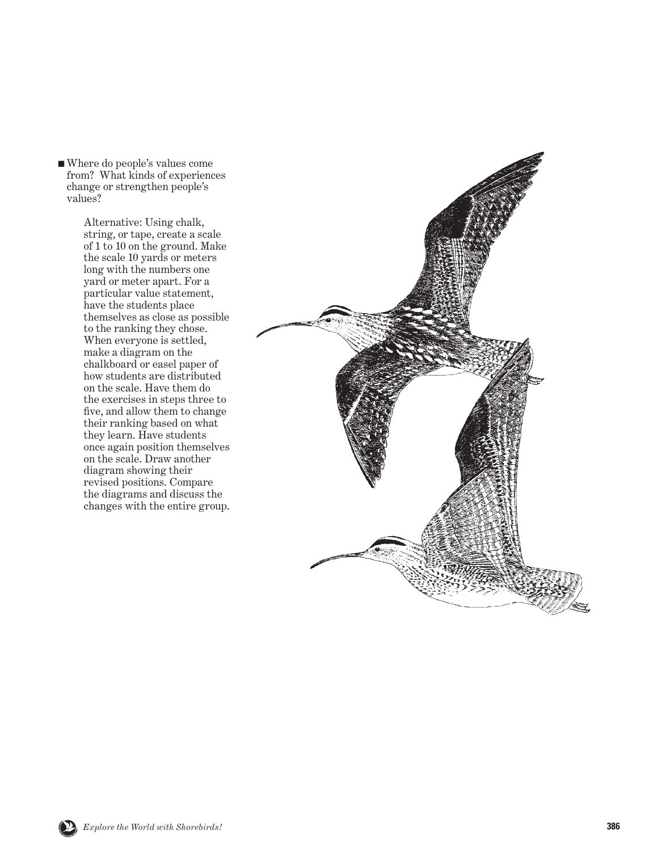■ Where do people's values come from? What kinds of experiences change or strengthen people's values?

> Alternative: Using chalk, string, or tape, create a scale of 1 to 10 on the ground. Make the scale 10 yards or meters long with the numbers one yard or meter apart. For a particular value statement, have the students place themselves as close as possible to the ranking they chose. When everyone is settled, make a diagram on the chalkboard or easel paper of how students are distributed on the scale. Have them do the exercises in steps three to five, and allow them to change their ranking based on what they learn. Have students once again position themselves on the scale. Draw another diagram showing their revised positions. Compare the diagrams and discuss the changes with the entire group.



SHOREB<sup>S</sup><sup>I</sup>STE<sup>R</sup> <sup>S</sup>C<sup>H</sup>